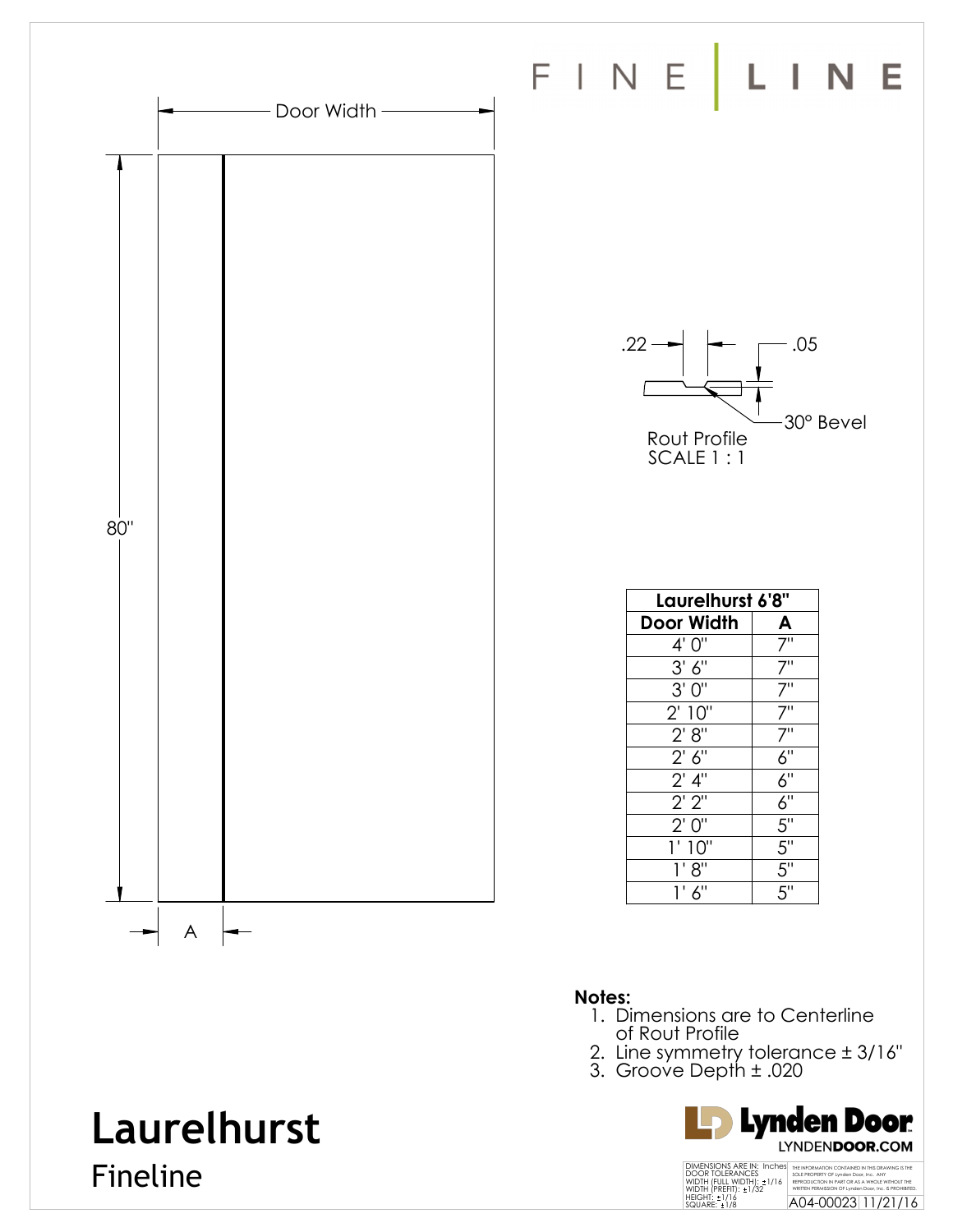

#### **Notes:**

- 1. Dimensions are to Centerline of Rout Profile
- 2. Line symmetry tolerance ± 3/16"
- 3. Groove Depth ± .020



## **Laurelhurst**

Fineline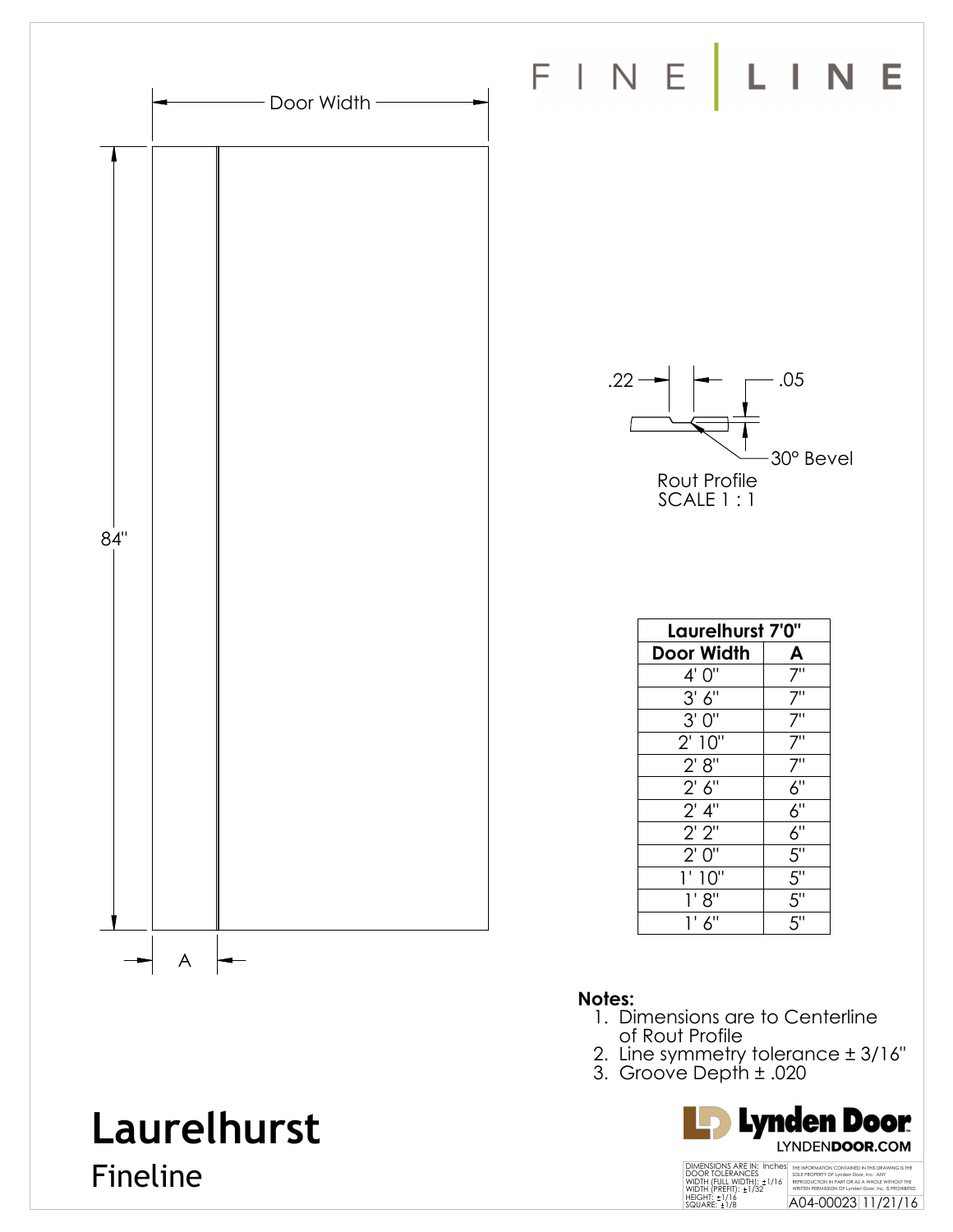

- of Rout Profile
- 2. Line symmetry tolerance ± 3/16"
- 3. Groove Depth ± .020

![](_page_1_Picture_4.jpeg)

# **Laurelhurst**

Fineline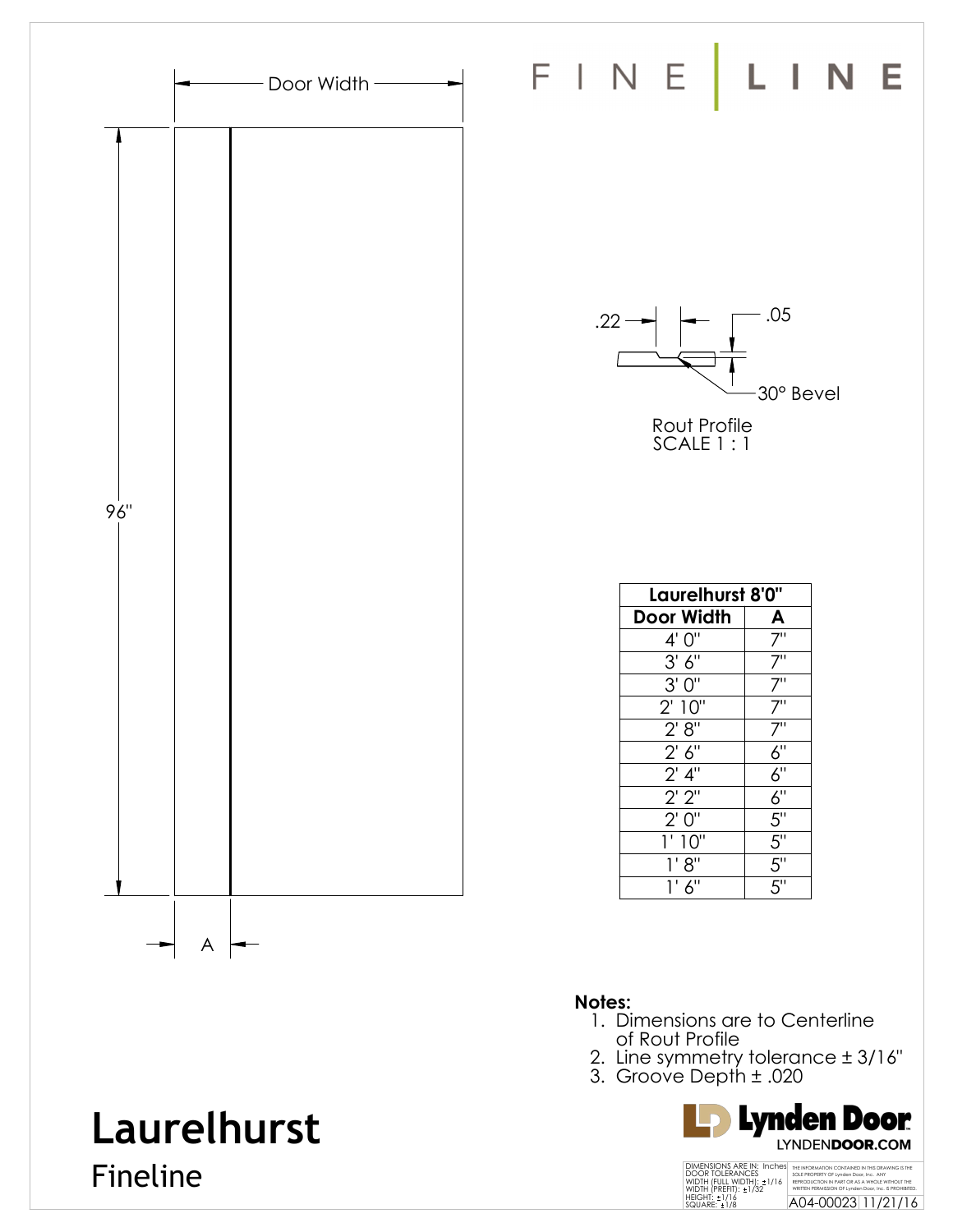![](_page_2_Figure_0.jpeg)

- of Rout Profile
- 2. Line symmetry tolerance ± 3/16"
- 3. Groove Depth ± .020

![](_page_2_Picture_4.jpeg)

### **Laurelhurst**

Fineline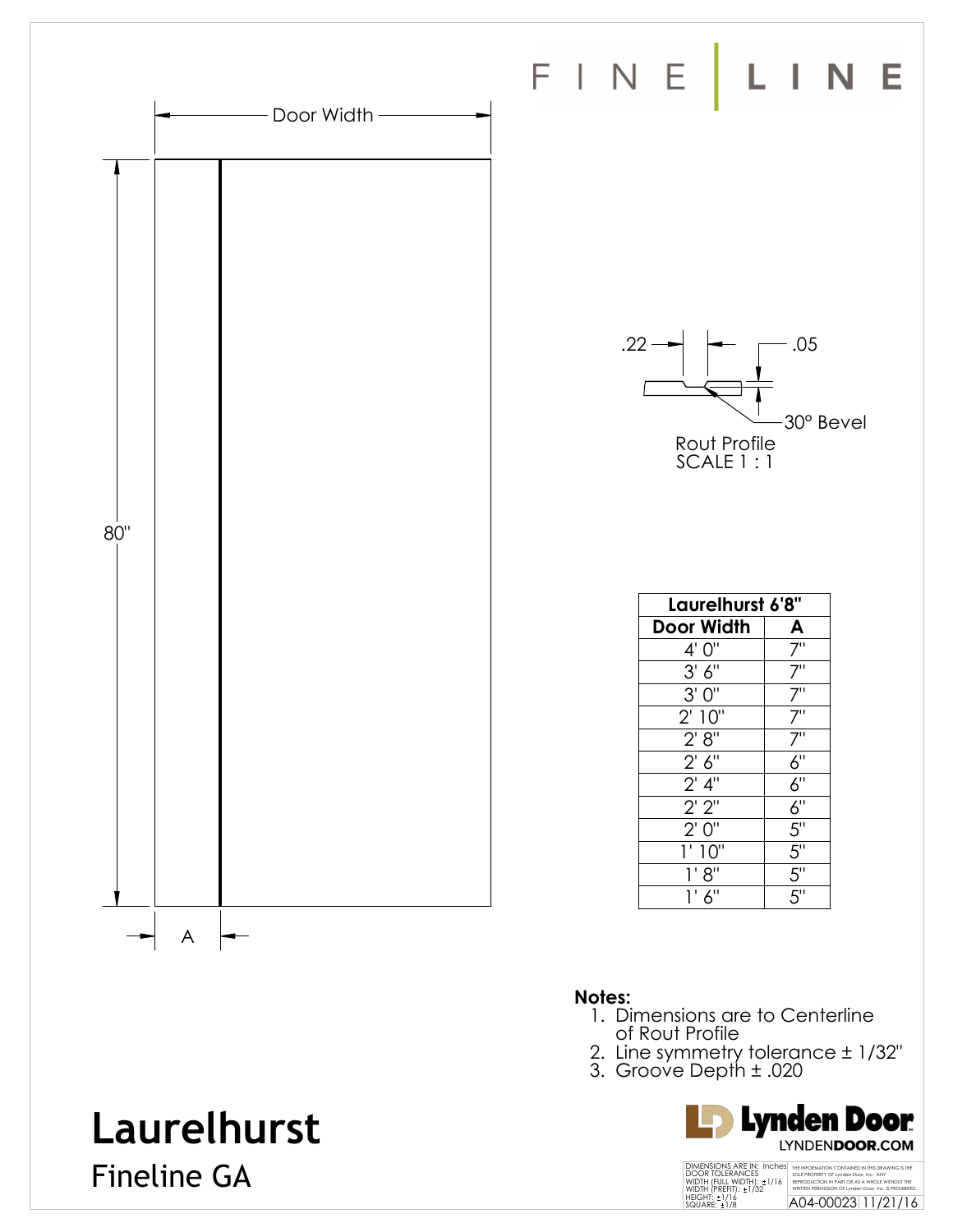![](_page_3_Figure_0.jpeg)

#### **Notes:**

- 1. Dimensions are to Centerline of Rout Profile
- 2. Line symmetry tolerance ± 1/32"
- 3. Groove Depth ± .020

![](_page_3_Picture_5.jpeg)

### **Laurelhurst**

Fineline GA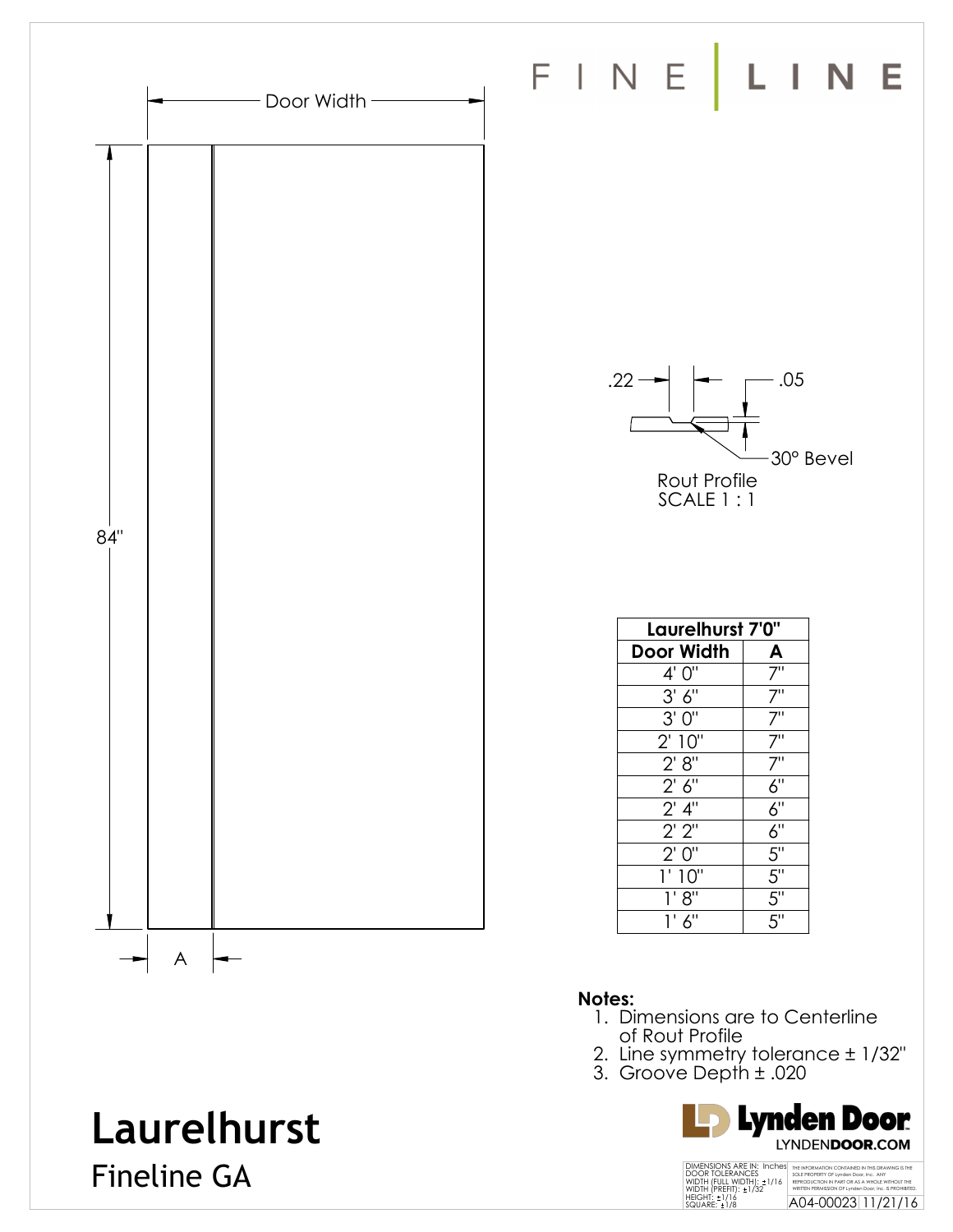![](_page_4_Figure_0.jpeg)

- 1. Dimensions are to Centerline of Rout Profile
- 2. Line symmetry tolerance ± 1/32"
- 3. Groove Depth ± .020

![](_page_4_Picture_4.jpeg)

#### THE INFORMATION CONTAINED IN THIS DRAWING IS THE SOLE PROPERTY OF Lynden Door, Inc. ANY<br>REPRODUCTION IN PART OR AS A WHOLE WITHOUT THE<br>WRITTEN PERMISSION OF Lynden Door, Inc. IS PROHIBITED.<br>A04-00023 11/21/16 DIMENSIONS ARE IN: Inches<br>DOOR TOLERANCES<br>WIDTH (FULL WIDTH): ±1/16<br>WIDTH (PREFIT): ±1/32<br>HEIGHT: ±1/16<br>SQUARE: ±1/8

### **Laurelhurst**

Fineline GA